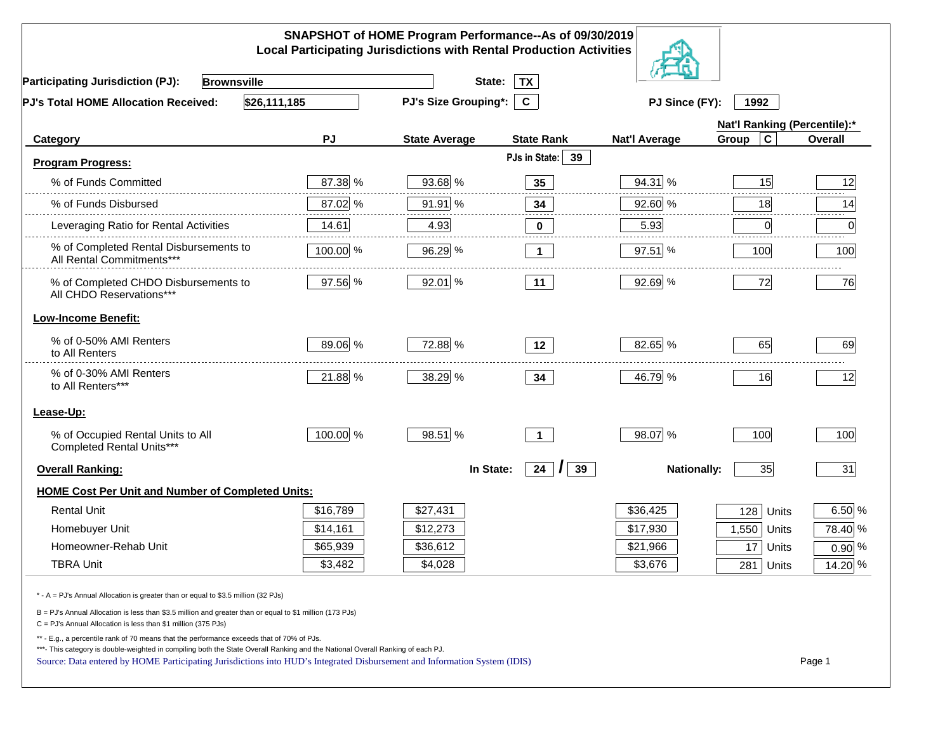|                                                                                                                                                                                                                                                                                                                                                                    |          | SNAPSHOT of HOME Program Performance--As of 09/30/2019<br><b>Local Participating Jurisdictions with Rental Production Activities</b> |                      |                      |                              |                |
|--------------------------------------------------------------------------------------------------------------------------------------------------------------------------------------------------------------------------------------------------------------------------------------------------------------------------------------------------------------------|----------|--------------------------------------------------------------------------------------------------------------------------------------|----------------------|----------------------|------------------------------|----------------|
| <b>Participating Jurisdiction (PJ):</b><br><b>Brownsville</b>                                                                                                                                                                                                                                                                                                      |          | State:                                                                                                                               | <b>TX</b>            |                      |                              |                |
| \$26,111,185<br>PJ's Total HOME Allocation Received:                                                                                                                                                                                                                                                                                                               |          | PJ's Size Grouping*:                                                                                                                 | $\mathbf{C}$         | PJ Since (FY):       | 1992                         |                |
|                                                                                                                                                                                                                                                                                                                                                                    |          |                                                                                                                                      |                      |                      | Nat'l Ranking (Percentile):* |                |
| Category                                                                                                                                                                                                                                                                                                                                                           | PJ       | <b>State Average</b>                                                                                                                 | <b>State Rank</b>    | <b>Nat'l Average</b> | $\mathbf c$<br>Group         | <b>Overall</b> |
| <b>Program Progress:</b>                                                                                                                                                                                                                                                                                                                                           |          |                                                                                                                                      | PJs in State:<br>39  |                      |                              |                |
| % of Funds Committed                                                                                                                                                                                                                                                                                                                                               | 87.38 %  | 93.68 %                                                                                                                              | 35                   | 94.31 %              | 15                           | 12             |
| % of Funds Disbursed                                                                                                                                                                                                                                                                                                                                               | 87.02 %  | 91.91 %                                                                                                                              | 34                   | 92.60 %              | 18                           | 14             |
| Leveraging Ratio for Rental Activities                                                                                                                                                                                                                                                                                                                             | 14.61    | 4.93                                                                                                                                 | 0                    | 5.93                 | 0                            | .<br>0         |
| % of Completed Rental Disbursements to<br>All Rental Commitments***                                                                                                                                                                                                                                                                                                | 100.00 % | 96.29 %                                                                                                                              | $\mathbf 1$          | $97.51$ %            | 100                          | 100            |
| % of Completed CHDO Disbursements to<br>All CHDO Reservations***                                                                                                                                                                                                                                                                                                   | 97.56 %  | 92.01 %                                                                                                                              | 11                   | 92.69 %              | 72                           | 76             |
| <b>Low-Income Benefit:</b>                                                                                                                                                                                                                                                                                                                                         |          |                                                                                                                                      |                      |                      |                              |                |
| % of 0-50% AMI Renters<br>to All Renters                                                                                                                                                                                                                                                                                                                           | 89.06 %  | 72.88 %                                                                                                                              | 12                   | 82.65 %              | 65                           | 69             |
| % of 0-30% AMI Renters<br>to All Renters***                                                                                                                                                                                                                                                                                                                        | 21.88 %  | 38.29 %                                                                                                                              | 34                   | 46.79 %              | 16                           | 12             |
| Lease-Up:                                                                                                                                                                                                                                                                                                                                                          |          |                                                                                                                                      |                      |                      |                              |                |
| % of Occupied Rental Units to All<br>Completed Rental Units***                                                                                                                                                                                                                                                                                                     | 100.00 % | 98.51 %                                                                                                                              | $\mathbf{1}$         | 98.07 %              | 100                          | 100            |
| <b>Overall Ranking:</b>                                                                                                                                                                                                                                                                                                                                            |          | In State:                                                                                                                            | 24 $  \cdot  $<br>39 | <b>Nationally:</b>   | 35                           | 31             |
| <b>HOME Cost Per Unit and Number of Completed Units:</b>                                                                                                                                                                                                                                                                                                           |          |                                                                                                                                      |                      |                      |                              |                |
| <b>Rental Unit</b>                                                                                                                                                                                                                                                                                                                                                 | \$16,789 | \$27,431                                                                                                                             |                      | \$36,425             | 128<br>Units                 | $6.50\%$       |
| Homebuyer Unit                                                                                                                                                                                                                                                                                                                                                     | \$14,161 | \$12,273                                                                                                                             |                      | \$17,930             | 1,550<br>Units               | 78.40 %        |
| Homeowner-Rehab Unit                                                                                                                                                                                                                                                                                                                                               | \$65,939 | \$36,612                                                                                                                             |                      | \$21,966             | 17<br>Units                  | $0.90\%$       |
| <b>TBRA Unit</b>                                                                                                                                                                                                                                                                                                                                                   | \$3,482  | \$4,028                                                                                                                              |                      | \$3,676              | 281 Units                    | 14.20 %        |
| * - A = PJ's Annual Allocation is greater than or equal to \$3.5 million (32 PJs)                                                                                                                                                                                                                                                                                  |          |                                                                                                                                      |                      |                      |                              |                |
| B = PJ's Annual Allocation is less than \$3.5 million and greater than or equal to \$1 million (173 PJs)<br>C = PJ's Annual Allocation is less than \$1 million (375 PJs)                                                                                                                                                                                          |          |                                                                                                                                      |                      |                      |                              |                |
| ** - E.g., a percentile rank of 70 means that the performance exceeds that of 70% of PJs.<br>***- This category is double-weighted in compiling both the State Overall Ranking and the National Overall Ranking of each PJ.<br>Page 1<br>Source: Data entered by HOME Participating Jurisdictions into HUD's Integrated Disbursement and Information System (IDIS) |          |                                                                                                                                      |                      |                      |                              |                |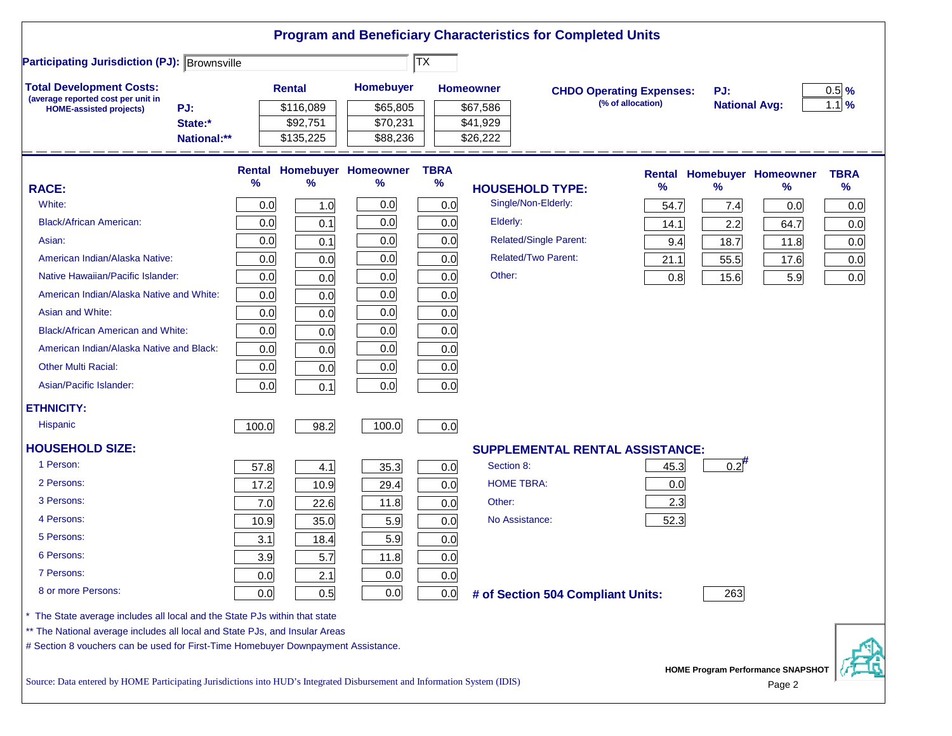|                                                                                   |             |       |               |                            | $ \overline{\mathsf{TX}} $ |                                        |                                 |      |                      |                                          |                   |
|-----------------------------------------------------------------------------------|-------------|-------|---------------|----------------------------|----------------------------|----------------------------------------|---------------------------------|------|----------------------|------------------------------------------|-------------------|
| <b>Participating Jurisdiction (PJ): Brownsville</b>                               |             |       |               |                            |                            |                                        |                                 |      |                      |                                          |                   |
| <b>Total Development Costs:</b><br>(average reported cost per unit in             |             |       | <b>Rental</b> | Homebuyer                  |                            | <b>Homeowner</b>                       | <b>CHDO Operating Expenses:</b> |      | PJ:                  |                                          | $0.5$ %           |
| <b>HOME-assisted projects)</b>                                                    | PJ:         |       | \$116,089     | \$65,805                   |                            | \$67,586                               | (% of allocation)               |      | <b>National Avg:</b> |                                          | $1.1 \frac{9}{6}$ |
|                                                                                   | State:*     |       | \$92,751      | \$70,231                   |                            | \$41,929                               |                                 |      |                      |                                          |                   |
|                                                                                   | National:** |       | \$135,225     | \$88,236                   |                            | \$26,222                               |                                 |      |                      |                                          |                   |
|                                                                                   |             |       |               | Rental Homebuyer Homeowner | <b>TBRA</b>                |                                        |                                 |      |                      | <b>Rental Homebuyer Homeowner</b>        | <b>TBRA</b>       |
| <b>RACE:</b>                                                                      |             | %     | $\frac{9}{6}$ | ℅                          | $\%$                       | <b>HOUSEHOLD TYPE:</b>                 |                                 | %    | $\frac{9}{6}$        | %                                        | $\%$              |
| White:                                                                            |             | 0.0   | 1.0           | 0.0                        | 0.0                        | Single/Non-Elderly:                    |                                 | 54.7 | 7.4                  | 0.0                                      | 0.0               |
| <b>Black/African American:</b>                                                    |             | 0.0   | 0.1           | 0.0                        | 0.0                        | Elderly:                               |                                 | 14.1 | 2.2                  | 64.7                                     | 0.0               |
| Asian:                                                                            |             | 0.0   | 0.1           | 0.0                        | 0.0                        | <b>Related/Single Parent:</b>          |                                 | 9.4  | 18.7                 | 11.8                                     | 0.0               |
| American Indian/Alaska Native:                                                    |             | 0.0   | 0.0           | 0.0                        | 0.0                        | <b>Related/Two Parent:</b>             |                                 | 21.1 | 55.5                 | 17.6                                     | 0.0               |
| Native Hawaiian/Pacific Islander:                                                 |             | 0.0   | 0.0           | 0.0                        | 0.0                        | Other:                                 |                                 | 0.8  | 15.6                 | 5.9                                      | 0.0               |
| American Indian/Alaska Native and White:                                          |             | 0.0   | 0.0           | 0.0                        | 0.0                        |                                        |                                 |      |                      |                                          |                   |
| Asian and White:                                                                  |             | 0.0   | 0.0           | 0.0                        | 0.0                        |                                        |                                 |      |                      |                                          |                   |
| <b>Black/African American and White:</b>                                          |             | 0.0   | 0.0           | 0.0                        | 0.0                        |                                        |                                 |      |                      |                                          |                   |
| American Indian/Alaska Native and Black:                                          |             | 0.0   | 0.0           | 0.0                        | 0.0                        |                                        |                                 |      |                      |                                          |                   |
| <b>Other Multi Racial:</b>                                                        |             | 0.0   | 0.0           | 0.0                        | 0.0                        |                                        |                                 |      |                      |                                          |                   |
| Asian/Pacific Islander:                                                           |             | 0.0   | 0.1           | 0.0                        | 0.0                        |                                        |                                 |      |                      |                                          |                   |
| <b>ETHNICITY:</b>                                                                 |             |       |               |                            |                            |                                        |                                 |      |                      |                                          |                   |
| <b>Hispanic</b>                                                                   |             | 100.0 | 98.2          | 100.0                      | 0.0                        |                                        |                                 |      |                      |                                          |                   |
| <b>HOUSEHOLD SIZE:</b>                                                            |             |       |               |                            |                            | <b>SUPPLEMENTAL RENTAL ASSISTANCE:</b> |                                 |      |                      |                                          |                   |
| 1 Person:                                                                         |             | 57.8  | 4.1           | 35.3                       | 0.0                        | Section 8:                             |                                 | 45.3 | $0.2$ <sup>#</sup>   |                                          |                   |
| 2 Persons:                                                                        |             | 17.2  | 10.9          | 29.4                       | 0.0                        | <b>HOME TBRA:</b>                      |                                 | 0.0  |                      |                                          |                   |
| 3 Persons:                                                                        |             | 7.0   | 22.6          | 11.8                       | 0.0                        | Other:                                 |                                 | 2.3  |                      |                                          |                   |
| 4 Persons:                                                                        |             | 10.9  | 35.0          | 5.9                        | 0.0                        | No Assistance:                         |                                 | 52.3 |                      |                                          |                   |
| 5 Persons:                                                                        |             | 3.1   | 18.4          | 5.9                        | 0.0                        |                                        |                                 |      |                      |                                          |                   |
| 6 Persons:                                                                        |             | 3.9   | 5.7           | 11.8                       | 0.0                        |                                        |                                 |      |                      |                                          |                   |
| 7 Persons:                                                                        |             | 0.0   | 2.1           | 0.0                        | 0.0                        |                                        |                                 |      |                      |                                          |                   |
| 8 or more Persons:                                                                |             | 0.0   | 0.5           | 0.0                        | 0.0                        | # of Section 504 Compliant Units:      |                                 |      | 263                  |                                          |                   |
| The State average includes all local and the State PJs within that state          |             |       |               |                            |                            |                                        |                                 |      |                      |                                          |                   |
| ** The National average includes all local and State PJs, and Insular Areas       |             |       |               |                            |                            |                                        |                                 |      |                      |                                          |                   |
| # Section 8 vouchers can be used for First-Time Homebuyer Downpayment Assistance. |             |       |               |                            |                            |                                        |                                 |      |                      |                                          |                   |
|                                                                                   |             |       |               |                            |                            |                                        |                                 |      |                      | <b>HOME Program Performance SNAPSHOT</b> |                   |

Source: Data entered by HOME Participating Jurisdictions into HUD's Integrated Disbursement and Information System (IDIS) Page 2